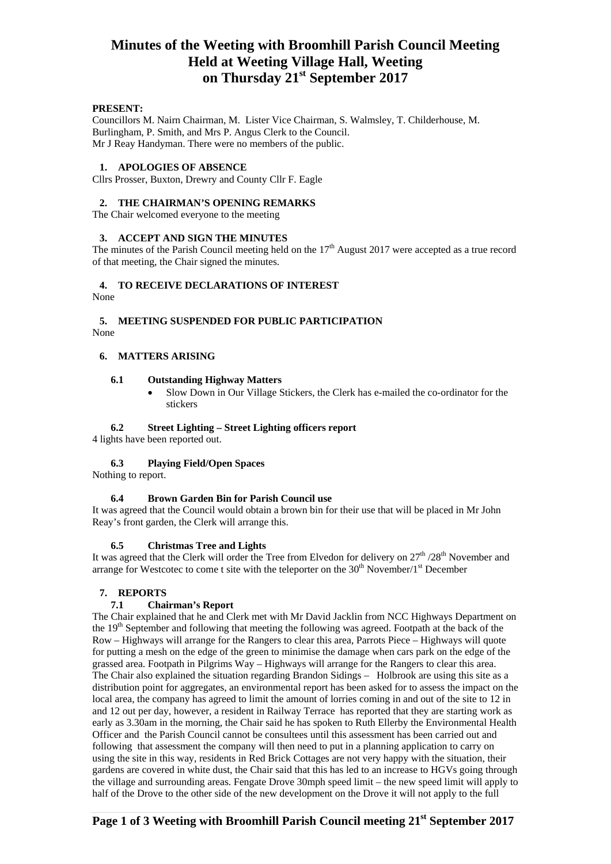## **Minutes of the Weeting with Broomhill Parish Council Meeting Held at Weeting Village Hall, Weeting on Thursday 21st September 2017**

## **PRESENT:**

Councillors M. Nairn Chairman, M. Lister Vice Chairman, S. Walmsley, T. Childerhouse, M. Burlingham, P. Smith, and Mrs P. Angus Clerk to the Council. Mr J Reay Handyman. There were no members of the public.

#### **1. APOLOGIES OF ABSENCE**

Cllrs Prosser, Buxton, Drewry and County Cllr F. Eagle

#### **2. THE CHAIRMAN'S OPENING REMARKS**

The Chair welcomed everyone to the meeting

## **3. ACCEPT AND SIGN THE MINUTES**

The minutes of the Parish Council meeting held on the  $17<sup>th</sup>$  August 2017 were accepted as a true record of that meeting, the Chair signed the minutes.

## **4. TO RECEIVE DECLARATIONS OF INTEREST**

None

## **5. MEETING SUSPENDED FOR PUBLIC PARTICIPATION**  None

## **6. MATTERS ARISING**

## **6.1 Outstanding Highway Matters**

 Slow Down in Our Village Stickers, the Clerk has e-mailed the co-ordinator for the stickers

#### **6.2 Street Lighting – Street Lighting officers report**

4 lights have been reported out.

## **6.3 Playing Field/Open Spaces**

Nothing to report.

## **6.4 Brown Garden Bin for Parish Council use**

It was agreed that the Council would obtain a brown bin for their use that will be placed in Mr John Reay's front garden, the Clerk will arrange this.

## **6.5 Christmas Tree and Lights**

It was agreed that the Clerk will order the Tree from Elvedon for delivery on  $27<sup>th</sup> / 28<sup>th</sup>$  November and arrange for Westcotec to come t site with the teleporter on the  $30<sup>th</sup>$  November/1<sup>st</sup> December

## **7. REPORTS**

## **7.1 Chairman's Report**

The Chair explained that he and Clerk met with Mr David Jacklin from NCC Highways Department on the 19<sup>th</sup> September and following that meeting the following was agreed. Footpath at the back of the Row – Highways will arrange for the Rangers to clear this area, Parrots Piece – Highways will quote for putting a mesh on the edge of the green to minimise the damage when cars park on the edge of the grassed area. Footpath in Pilgrims Way – Highways will arrange for the Rangers to clear this area. The Chair also explained the situation regarding Brandon Sidings – Holbrook are using this site as a distribution point for aggregates, an environmental report has been asked for to assess the impact on the local area, the company has agreed to limit the amount of lorries coming in and out of the site to 12 in and 12 out per day, however, a resident in Railway Terrace has reported that they are starting work as early as 3.30am in the morning, the Chair said he has spoken to Ruth Ellerby the Environmental Health Officer and the Parish Council cannot be consultees until this assessment has been carried out and following that assessment the company will then need to put in a planning application to carry on using the site in this way, residents in Red Brick Cottages are not very happy with the situation, their gardens are covered in white dust, the Chair said that this has led to an increase to HGVs going through the village and surrounding areas. Fengate Drove 30mph speed limit – the new speed limit will apply to half of the Drove to the other side of the new development on the Drove it will not apply to the full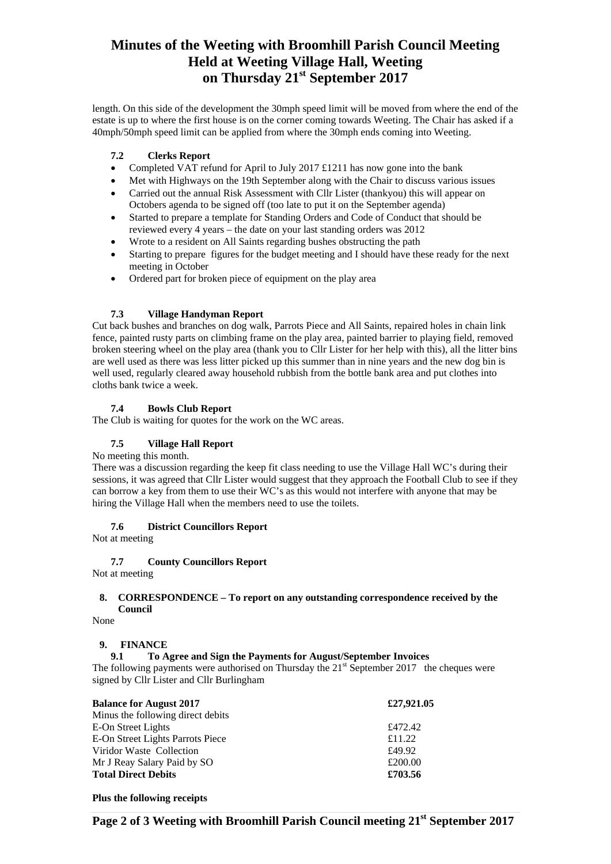# **Minutes of the Weeting with Broomhill Parish Council Meeting Held at Weeting Village Hall, Weeting on Thursday 21st September 2017**

length. On this side of the development the 30mph speed limit will be moved from where the end of the estate is up to where the first house is on the corner coming towards Weeting. The Chair has asked if a 40mph/50mph speed limit can be applied from where the 30mph ends coming into Weeting.

## **7.2 Clerks Report**

- Completed VAT refund for April to July 2017 £1211 has now gone into the bank
- Met with Highways on the 19th September along with the Chair to discuss various issues
- Carried out the annual Risk Assessment with Cllr Lister (thankyou) this will appear on Octobers agenda to be signed off (too late to put it on the September agenda)
- Started to prepare a template for Standing Orders and Code of Conduct that should be reviewed every 4 years – the date on your last standing orders was 2012
- Wrote to a resident on All Saints regarding bushes obstructing the path
- Starting to prepare figures for the budget meeting and I should have these ready for the next meeting in October
- Ordered part for broken piece of equipment on the play area

## **7.3 Village Handyman Report**

Cut back bushes and branches on dog walk, Parrots Piece and All Saints, repaired holes in chain link fence, painted rusty parts on climbing frame on the play area, painted barrier to playing field, removed broken steering wheel on the play area (thank you to Cllr Lister for her help with this), all the litter bins are well used as there was less litter picked up this summer than in nine years and the new dog bin is well used, regularly cleared away household rubbish from the bottle bank area and put clothes into cloths bank twice a week.

## **7.4 Bowls Club Report**

The Club is waiting for quotes for the work on the WC areas.

## **7.5 Village Hall Report**

No meeting this month.

There was a discussion regarding the keep fit class needing to use the Village Hall WC's during their sessions, it was agreed that Cllr Lister would suggest that they approach the Football Club to see if they can borrow a key from them to use their WC's as this would not interfere with anyone that may be hiring the Village Hall when the members need to use the toilets.

## **7.6 District Councillors Report**

Not at meeting

## **7.7 County Councillors Report**

Not at meeting

#### **8. CORRESPONDENCE – To report on any outstanding correspondence received by the Council**

None

## **9. FINANCE**

**9.1 To Agree and Sign the Payments for August/September Invoices**

The following payments were authorised on Thursday the  $21<sup>st</sup>$  September 2017 the cheques were signed by Cllr Lister and Cllr Burlingham

| <b>Balance for August 2017</b>    | £27,921.05 |
|-----------------------------------|------------|
| Minus the following direct debits |            |
| E-On Street Lights                | £472.42    |
| E-On Street Lights Parrots Piece  | £11.22     |
| Viridor Waste Collection          | £49.92     |
| Mr J Reay Salary Paid by SO       | £200.00    |
| <b>Total Direct Debits</b>        | £703.56    |

**Plus the following receipts**